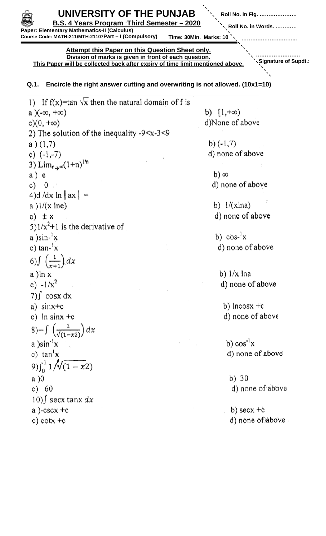